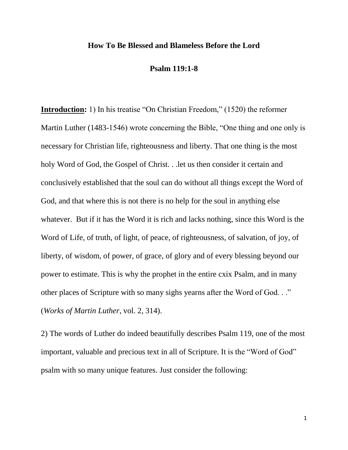#### **How To Be Blessed and Blameless Before the Lord**

#### **Psalm 119:1-8**

**Introduction:** 1) In his treatise "On Christian Freedom," (1520) the reformer Martin Luther (1483-1546) wrote concerning the Bible, "One thing and one only is necessary for Christian life, righteousness and liberty. That one thing is the most holy Word of God, the Gospel of Christ. . .let us then consider it certain and conclusively established that the soul can do without all things except the Word of God, and that where this is not there is no help for the soul in anything else whatever. But if it has the Word it is rich and lacks nothing, since this Word is the Word of Life, of truth, of light, of peace, of righteousness, of salvation, of joy, of liberty, of wisdom, of power, of grace, of glory and of every blessing beyond our power to estimate. This is why the prophet in the entire cxix Psalm, and in many other places of Scripture with so many sighs yearns after the Word of God. . ." (*Works of Martin Luther*, vol. 2, 314).

2) The words of Luther do indeed beautifully describes Psalm 119, one of the most important, valuable and precious text in all of Scripture. It is the "Word of God" psalm with so many unique features. Just consider the following: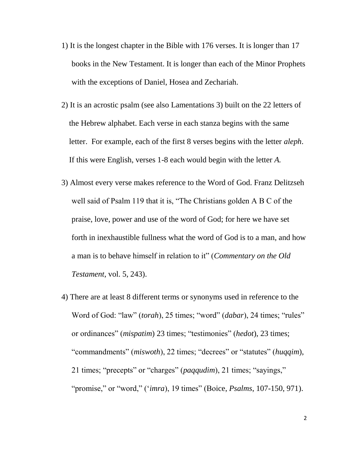- 1) It is the longest chapter in the Bible with 176 verses. It is longer than 17 books in the New Testament. It is longer than each of the Minor Prophets with the exceptions of Daniel, Hosea and Zechariah.
- 2) It is an acrostic psalm (see also Lamentations 3) built on the 22 letters of the Hebrew alphabet. Each verse in each stanza begins with the same letter. For example, each of the first 8 verses begins with the letter *aleph*. If this were English, verses 1-8 each would begin with the letter *A.*
- 3) Almost every verse makes reference to the Word of God. Franz Delitzseh well said of Psalm 119 that it is, "The Christians golden A B C of the praise, love, power and use of the word of God; for here we have set forth in inexhaustible fullness what the word of God is to a man, and how a man is to behave himself in relation to it" (*Commentary on the Old Testament*, vol. 5, 243).
- 4) There are at least 8 different terms or synonyms used in reference to the Word of God: "law" (*torah*), 25 times; "word" (*dabar*), 24 times; "rules" or ordinances" (*mispatim*) 23 times; "testimonies" (*hedot*), 23 times; "commandments" (*miswoth*), 22 times; "decrees" or "statutes" (*huqqim*), 21 times; "precepts" or "charges" (*paqqudim*), 21 times; "sayings," "promise," or "word," ('*imra*), 19 times" (Boice, *Psalms*, 107-150, 971).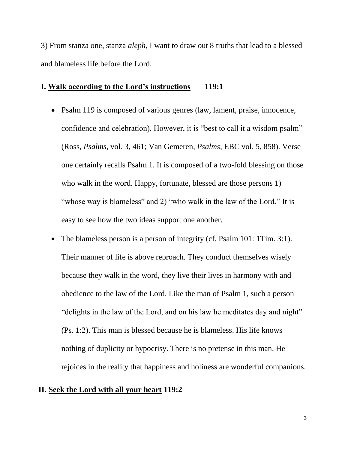3) From stanza one, stanza *aleph*, I want to draw out 8 truths that lead to a blessed and blameless life before the Lord.

#### **I. Walk according to the Lord's instructions 119:1**

- Psalm 119 is composed of various genres (law, lament, praise, innocence, confidence and celebration). However, it is "best to call it a wisdom psalm" (Ross, *Psalms*, vol. 3, 461; Van Gemeren, *Psalms*, EBC vol. 5, 858). Verse one certainly recalls Psalm 1. It is composed of a two-fold blessing on those who walk in the word. Happy, fortunate, blessed are those persons 1) "whose way is blameless" and 2) "who walk in the law of the Lord." It is easy to see how the two ideas support one another.
- The blameless person is a person of integrity (cf. Psalm 101: 1Tim. 3:1). Their manner of life is above reproach. They conduct themselves wisely because they walk in the word, they live their lives in harmony with and obedience to the law of the Lord. Like the man of Psalm 1, such a person "delights in the law of the Lord, and on his law he meditates day and night" (Ps. 1:2). This man is blessed because he is blameless. His life knows nothing of duplicity or hypocrisy. There is no pretense in this man. He rejoices in the reality that happiness and holiness are wonderful companions.

# **II. Seek the Lord with all your heart 119:2**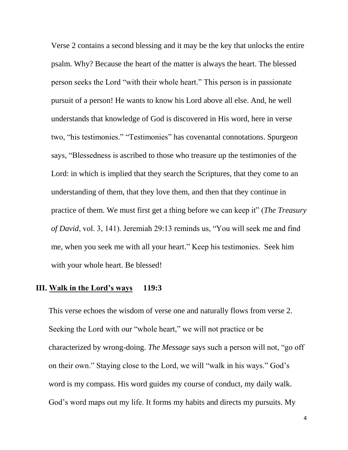Verse 2 contains a second blessing and it may be the key that unlocks the entire psalm. Why? Because the heart of the matter is always the heart. The blessed person seeks the Lord "with their whole heart." This person is in passionate pursuit of a person! He wants to know his Lord above all else. And, he well understands that knowledge of God is discovered in His word, here in verse two, "his testimonies." "Testimonies" has covenantal connotations. Spurgeon says, "Blessedness is ascribed to those who treasure up the testimonies of the Lord: in which is implied that they search the Scriptures, that they come to an understanding of them, that they love them, and then that they continue in practice of them. We must first get a thing before we can keep it" (*The Treasury of David*, vol. 3, 141). Jeremiah 29:13 reminds us, "You will seek me and find me, when you seek me with all your heart." Keep his testimonies. Seek him with your whole heart. Be blessed!

# **III. Walk in the Lord's ways 119:3**

This verse echoes the wisdom of verse one and naturally flows from verse 2. Seeking the Lord with our "whole heart," we will not practice or be characterized by wrong-doing. *The Message* says such a person will not, "go off on their own." Staying close to the Lord, we will "walk in his ways." God's word is my compass. His word guides my course of conduct, my daily walk. God's word maps out my life. It forms my habits and directs my pursuits. My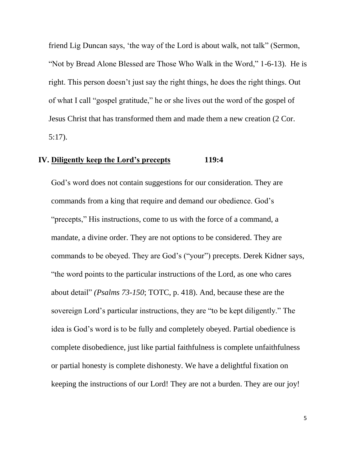friend Lig Duncan says, 'the way of the Lord is about walk, not talk" (Sermon, "Not by Bread Alone Blessed are Those Who Walk in the Word," 1-6-13). He is right. This person doesn't just say the right things, he does the right things. Out of what I call "gospel gratitude," he or she lives out the word of the gospel of Jesus Christ that has transformed them and made them a new creation (2 Cor. 5:17).

# **IV. Diligently keep the Lord's precepts 119:4**

God's word does not contain suggestions for our consideration. They are commands from a king that require and demand our obedience. God's "precepts," His instructions, come to us with the force of a command, a mandate, a divine order. They are not options to be considered. They are commands to be obeyed. They are God's ("your") precepts. Derek Kidner says, "the word points to the particular instructions of the Lord, as one who cares about detail" *(Psalms 73-150*; TOTC, p. 418). And, because these are the sovereign Lord's particular instructions, they are "to be kept diligently." The idea is God's word is to be fully and completely obeyed. Partial obedience is complete disobedience, just like partial faithfulness is complete unfaithfulness or partial honesty is complete dishonesty. We have a delightful fixation on keeping the instructions of our Lord! They are not a burden. They are our joy!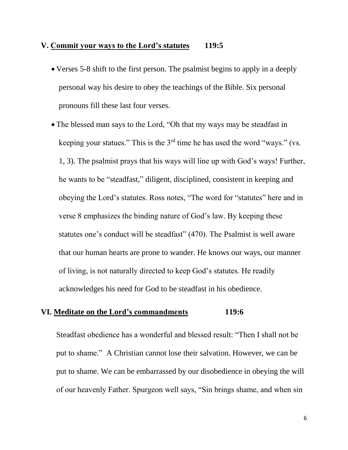## **V. Commit your ways to the Lord's statutes 119:5**

- Verses 5-8 shift to the first person. The psalmist begins to apply in a deeply personal way his desire to obey the teachings of the Bible. Six personal pronouns fill these last four verses.
- The blessed man says to the Lord, "Oh that my ways may be steadfast in keeping your statues." This is the  $3<sup>rd</sup>$  time he has used the word "ways." (vs. 1, 3). The psalmist prays that his ways will line up with God's ways! Further, he wants to be "steadfast," diligent, disciplined, consistent in keeping and obeying the Lord's statutes. Ross notes, "The word for "statutes" here and in verse 8 emphasizes the binding nature of God's law. By keeping these statutes one's conduct will be steadfast" (470). The Psalmist is well aware that our human hearts are prone to wander. He knows our ways, our manner of living, is not naturally directed to keep God's statutes. He readily acknowledges his need for God to be steadfast in his obedience.

#### **VI. Meditate on the Lord's commandments 119:6**

Steadfast obedience has a wonderful and blessed result: "Then I shall not be put to shame." A Christian cannot lose their salvation. However, we can be put to shame. We can be embarrassed by our disobedience in obeying the will of our heavenly Father. Spurgeon well says, "Sin brings shame, and when sin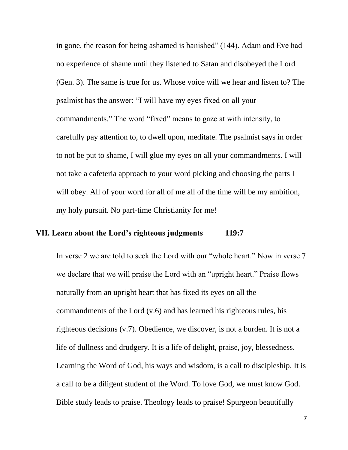in gone, the reason for being ashamed is banished" (144). Adam and Eve had no experience of shame until they listened to Satan and disobeyed the Lord (Gen. 3). The same is true for us. Whose voice will we hear and listen to? The psalmist has the answer: "I will have my eyes fixed on all your commandments." The word "fixed" means to gaze at with intensity, to carefully pay attention to, to dwell upon, meditate. The psalmist says in order to not be put to shame, I will glue my eyes on all your commandments. I will not take a cafeteria approach to your word picking and choosing the parts I will obey. All of your word for all of me all of the time will be my ambition, my holy pursuit. No part-time Christianity for me!

## **VII. Learn about the Lord's righteous judgments 119:7**

In verse 2 we are told to seek the Lord with our "whole heart." Now in verse 7 we declare that we will praise the Lord with an "upright heart." Praise flows naturally from an upright heart that has fixed its eyes on all the commandments of the Lord (v.6) and has learned his righteous rules, his righteous decisions (v.7). Obedience, we discover, is not a burden. It is not a life of dullness and drudgery. It is a life of delight, praise, joy, blessedness. Learning the Word of God, his ways and wisdom, is a call to discipleship. It is a call to be a diligent student of the Word. To love God, we must know God. Bible study leads to praise. Theology leads to praise! Spurgeon beautifully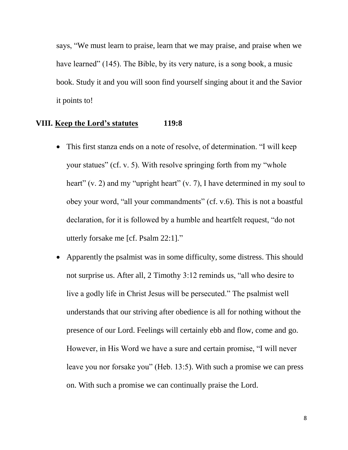says, "We must learn to praise, learn that we may praise, and praise when we have learned" (145). The Bible, by its very nature, is a song book, a music book. Study it and you will soon find yourself singing about it and the Savior it points to!

# **VIII. Keep the Lord's statutes 119:8**

- This first stanza ends on a note of resolve, of determination. "I will keep your statues" (cf. v. 5). With resolve springing forth from my "whole heart" (v. 2) and my "upright heart" (v. 7), I have determined in my soul to obey your word, "all your commandments" (cf. v.6). This is not a boastful declaration, for it is followed by a humble and heartfelt request, "do not utterly forsake me [cf. Psalm 22:1]."
- Apparently the psalmist was in some difficulty, some distress. This should not surprise us. After all, 2 Timothy 3:12 reminds us, "all who desire to live a godly life in Christ Jesus will be persecuted." The psalmist well understands that our striving after obedience is all for nothing without the presence of our Lord. Feelings will certainly ebb and flow, come and go. However, in His Word we have a sure and certain promise, "I will never leave you nor forsake you" (Heb. 13:5). With such a promise we can press on. With such a promise we can continually praise the Lord.